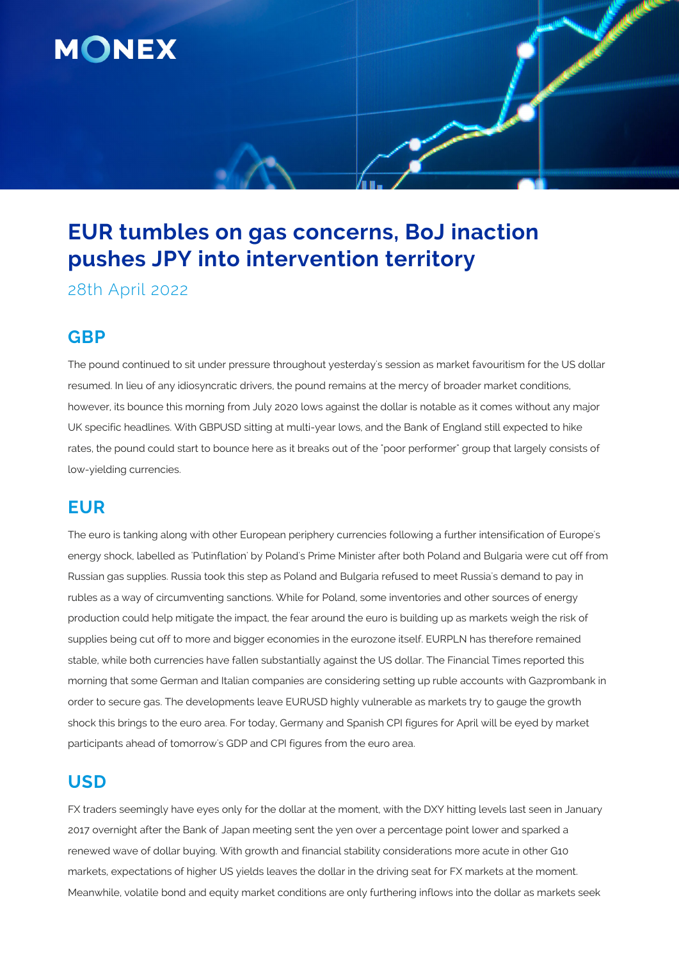

# **EUR tumbles on gas concerns, BoJ inaction pushes JPY into intervention territory**

28th April 2022

## **GBP**

The pound continued to sit under pressure throughout yesterday's session as market favouritism for the US dollar resumed. In lieu of any idiosyncratic drivers, the pound remains at the mercy of broader market conditions, however, its bounce this morning from July 2020 lows against the dollar is notable as it comes without any major UK specific headlines. With GBPUSD sitting at multi-year lows, and the Bank of England still expected to hike rates, the pound could start to bounce here as it breaks out of the "poor performer" group that largely consists of low-yielding currencies.

# **EUR**

The euro is tanking along with other European periphery currencies following a further intensification of Europe's energy shock, labelled as 'Putinflation' by Poland's Prime Minister after both Poland and Bulgaria were cut off from Russian gas supplies. Russia took this step as Poland and Bulgaria refused to meet Russia's demand to pay in rubles as a way of circumventing sanctions. While for Poland, some inventories and other sources of energy production could help mitigate the impact, the fear around the euro is building up as markets weigh the risk of supplies being cut off to more and bigger economies in the eurozone itself. EURPLN has therefore remained stable, while both currencies have fallen substantially against the US dollar. The Financial Times reported this morning that some German and Italian companies are considering setting up ruble accounts with Gazprombank in order to secure gas. The developments leave EURUSD highly vulnerable as markets try to gauge the growth shock this brings to the euro area. For today, Germany and Spanish CPI figures for April will be eyed by market participants ahead of tomorrow's GDP and CPI figures from the euro area.

# **USD**

FX traders seemingly have eyes only for the dollar at the moment, with the DXY hitting levels last seen in January 2017 overnight after the Bank of Japan meeting sent the yen over a percentage point lower and sparked a renewed wave of dollar buying. With growth and financial stability considerations more acute in other G10 markets, expectations of higher US yields leaves the dollar in the driving seat for FX markets at the moment. Meanwhile, volatile bond and equity market conditions are only furthering inflows into the dollar as markets seek